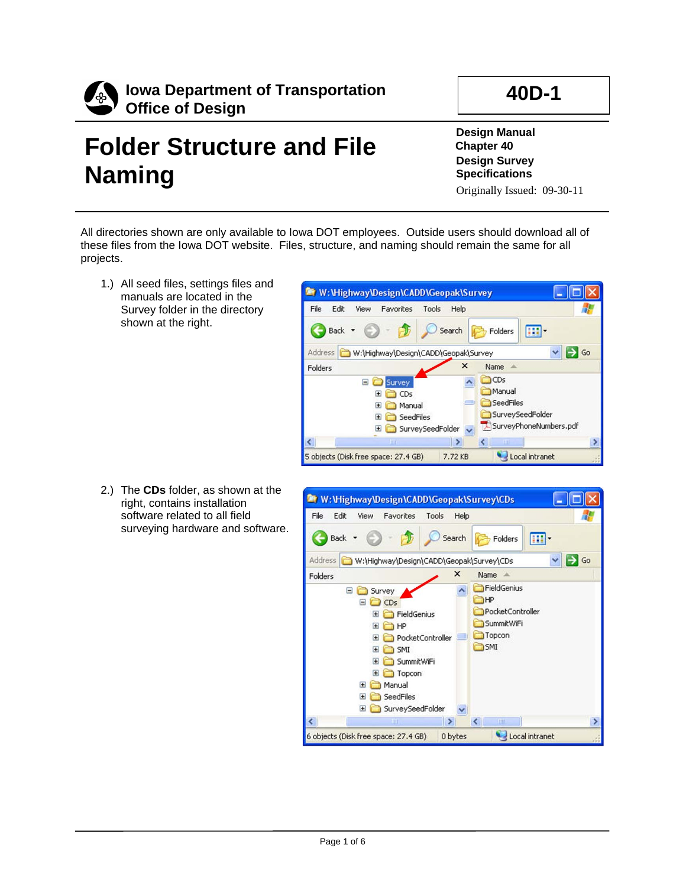

## **Folder Structure and File Naming**

**Design Manual Chapter 40 Design Survey Specifications**

Originally Issued: 09-30-11

All directories shown are only available to Iowa DOT employees. Outside users should download all of these files from the Iowa DOT website. Files, structure, and naming should remain the same for all projects.

> File Edit

W: Wighway Design \CADD \Geopak\Survey

Tools

Help

View Favorites

1.) All seed files, settings files and manuals are located in the Survey folder in the directory shown at the right.

2.) The **CDs** folder, as shown at the right, contains installation software related to all field surveying hardware and software.



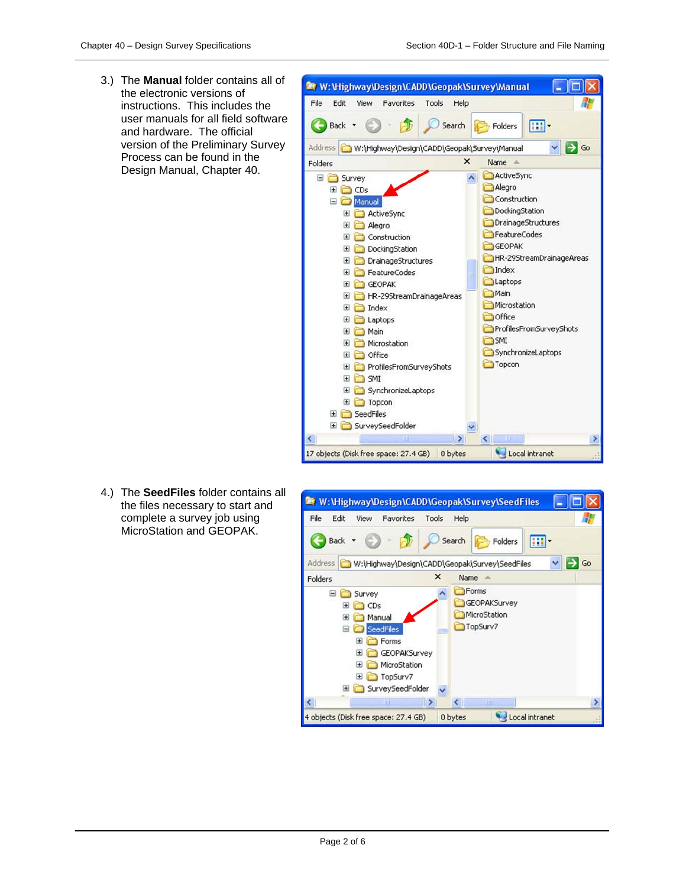3.) The **Manual** folder contains all of the electronic versions of instructions. This includes the user manuals for all field software and hardware. The official version of the Preliminary Survey Process can be found in the Design Manual, Chapter 40.



4.) The **SeedFiles** folder contains all the files necessary to start and complete a survey job using MicroStation and GEOPAK.

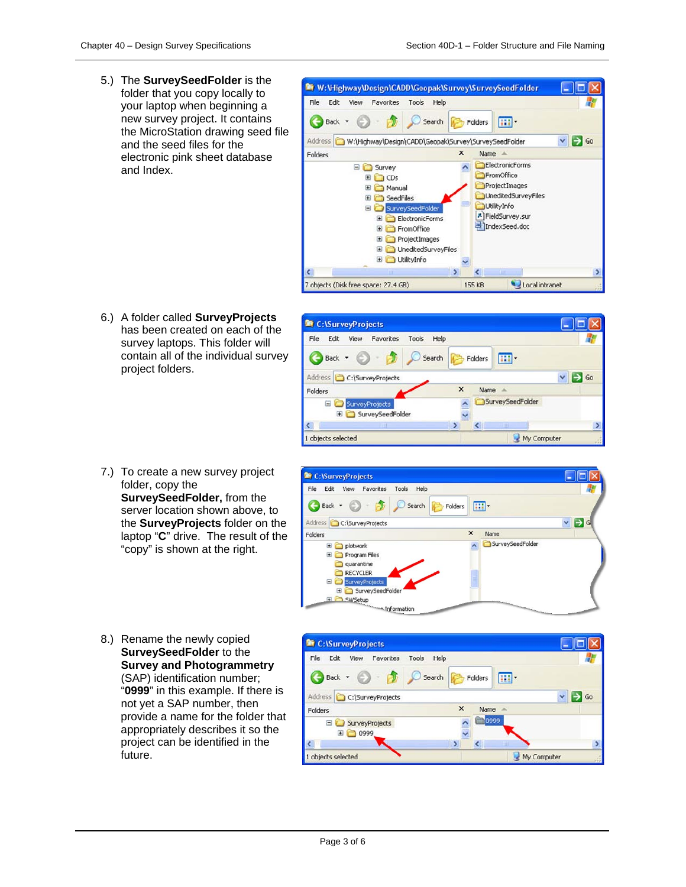m-

SurveySeedFolder

Folders

Name

 $\mathbf{x}$ 

. Iolx

 $\vee$   $\Rightarrow$  Go

鼎

5.) The **SurveySeedFolder** is the folder that you copy locally to your laptop when beginning a new survey project. It contains the MicroStation drawing seed file and the seed files for the electronic pink sheet database and Index.



- 6.) A folder called **SurveyProjects** has been created on each of the survey laptops. This folder will contain all of the individual survey project folders.
- 7.) To create a new survey project folder, copy the **SurveySeedFolder,** from the server location shown above, to the **SurveyProjects** folder on the laptop "**C**" drive. The result of the "copy" is shown at the right.



8.) Rename the newly copied **SurveySeedFolder** to the **Survey and Photogrammetry** (SAP) identification number; "**0999**" in this example. If there is not yet a SAP number, then provide a name for the folder that appropriately describes it so the project can be identified in the future.



Information

C:\SurveyProjects

Back -

Folders

File Edit View Favorites

Address C:\SurveyProjects

Tools Help

Search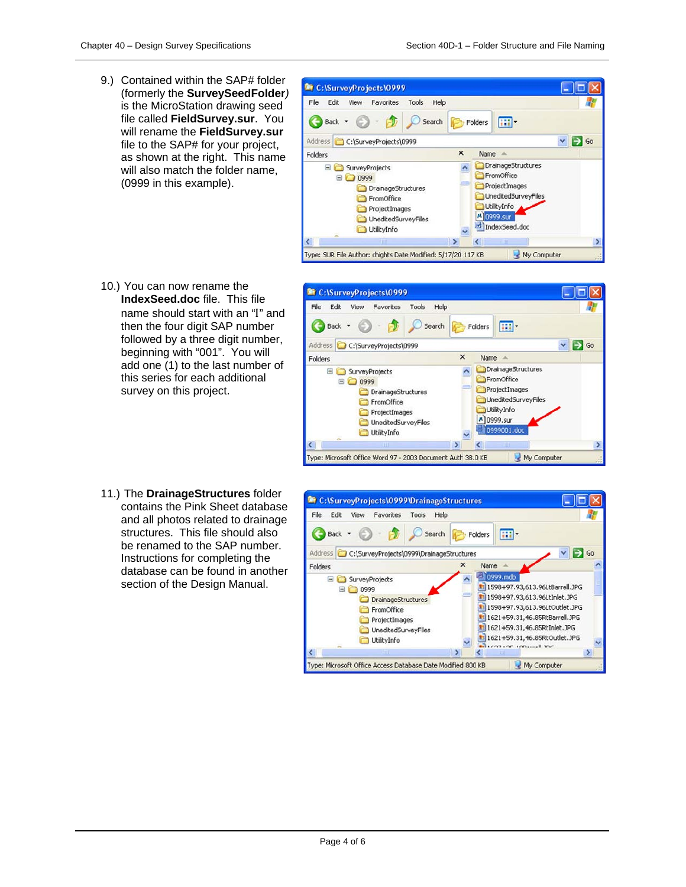9.) Contained within the SAP# folder (formerly the **SurveySeedFolder***)* is the MicroStation drawing seed file called **FieldSurvey.sur**. You will rename the **FieldSurvey.sur**  file to the SAP# for your project, as shown at the right. This name will also match the folder name, (0999 in this example).



- 10.) You can now rename the **IndexSeed.doc** file. This file name should start with an "I" and then the four digit SAP number followed by a three digit number, beginning with "001". You will add one (1) to the last number of this series for each additional survey on this project.
- 11.) The **DrainageStructures** folder contains the Pink Sheet database and all photos related to drainage structures. This file should also be renamed to the SAP number. Instructions for completing the database can be found in another section of the Design Manual.



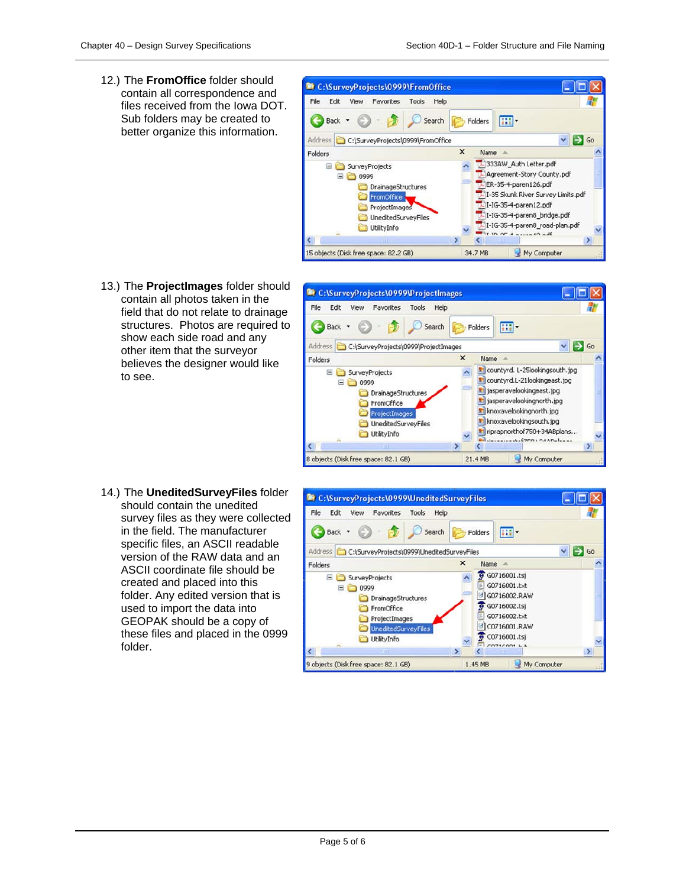12.) The **FromOffice** folder should contain all correspondence and files received from the Iowa DOT. Sub folders may be created to better organize this information.



13.) The **ProjectImages** folder should contain all photos taken in the field that do not relate to drainage structures. Photos are required to show each side road and any other item that the surveyor believes the designer would like to see.





| File<br>Edit<br>View<br>Favorites<br>Tools<br>Help<br>$\epsilon$<br>Search<br>Back -<br>Folders<br>Address C:\SurveyProjects\0999\UneditedSurveyFiles<br>$\mathbf x$<br>Name -<br>Folders<br>Θ<br><b>SurveyProjects</b><br>Θ<br>0999<br>DrainageStructures<br>FromOffice<br>в<br>ProjectImages<br><b>UneditedSurveyFiles</b> |                         |                                                                                                                                              |  | <sup>1</sup> C:\SurveyProjects\0999\UneditedSurveyFiles |  |  |
|------------------------------------------------------------------------------------------------------------------------------------------------------------------------------------------------------------------------------------------------------------------------------------------------------------------------------|-------------------------|----------------------------------------------------------------------------------------------------------------------------------------------|--|---------------------------------------------------------|--|--|
|                                                                                                                                                                                                                                                                                                                              |                         | m.                                                                                                                                           |  |                                                         |  |  |
|                                                                                                                                                                                                                                                                                                                              | $\vee$ $\Rightarrow$ Go |                                                                                                                                              |  |                                                         |  |  |
|                                                                                                                                                                                                                                                                                                                              |                         |                                                                                                                                              |  |                                                         |  |  |
| UtilityInfo<br>$\overline{\phantom{a}}$<br>$\rightarrow$<br>TШ<br>Шł                                                                                                                                                                                                                                                         | $\rightarrow$           | $6$ G0716001.tsi<br><b>E G0716001.txt</b><br>G0716002.RAW<br>G0716002.tsj<br>G0716002.txt<br>C0716001.RAW<br>$6$ C0716001.tsi<br>COTICOOL LA |  |                                                         |  |  |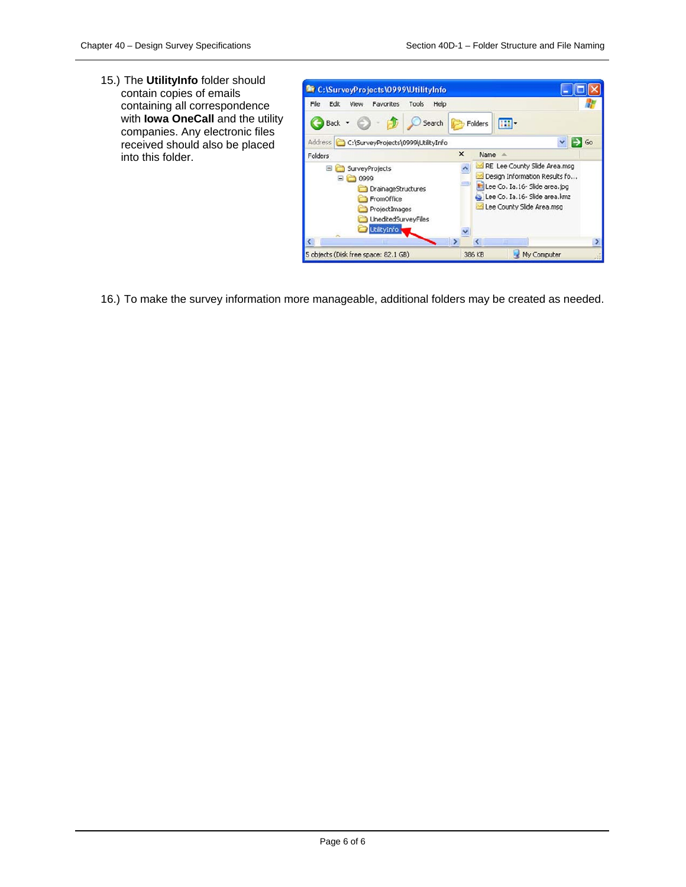15.) The **UtilityInfo** folder should contain copies of emails containing all correspondence with **Iowa OneCall** and the utility companies. Any electronic files received should also be placed into this folder.



16.) To make the survey information more manageable, additional folders may be created as needed.